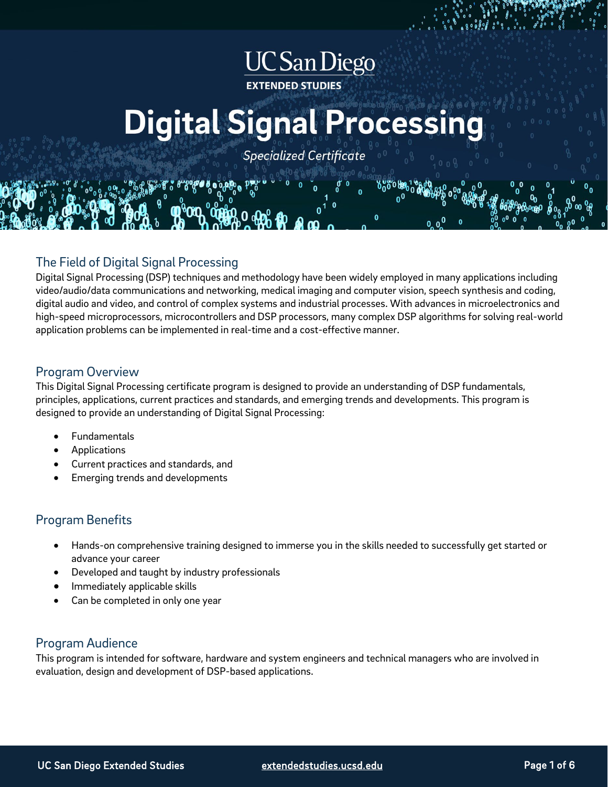## **UC** San Diego **EXTENDED STUDIES**

# **Digital Signal Processing**

**Specialized Certificate** 

## The Field of Digital Signal Processing

Digital Signal Processing (DSP) techniques and methodology have been widely employed in many applications including video/audio/data communications and networking, medical imaging and computer vision, speech synthesis and coding, digital audio and video, and control of complex systems and industrial processes. With advances in microelectronics and high-speed microprocessors, microcontrollers and DSP processors, many complex DSP algorithms for solving real-world application problems can be implemented in real-time and a cost-effective manner.

## Program Overview

This Digital Signal Processing certificate program is designed to provide an understanding of DSP fundamentals, principles, applications, current practices and standards, and emerging trends and developments. This program is designed to provide an understanding of Digital Signal Processing:

- **Fundamentals**
- Applications
- Current practices and standards, and
- Emerging trends and developments

## Program Benefits

- Hands-on comprehensive training designed to immerse you in the skills needed to successfully get started or advance your career
- Developed and taught by industry professionals
- Immediately applicable skills
- Can be completed in only one year

## Program Audience

This program is intended for software, hardware and system engineers and technical managers who are involved in evaluation, design and development of DSP-based applications.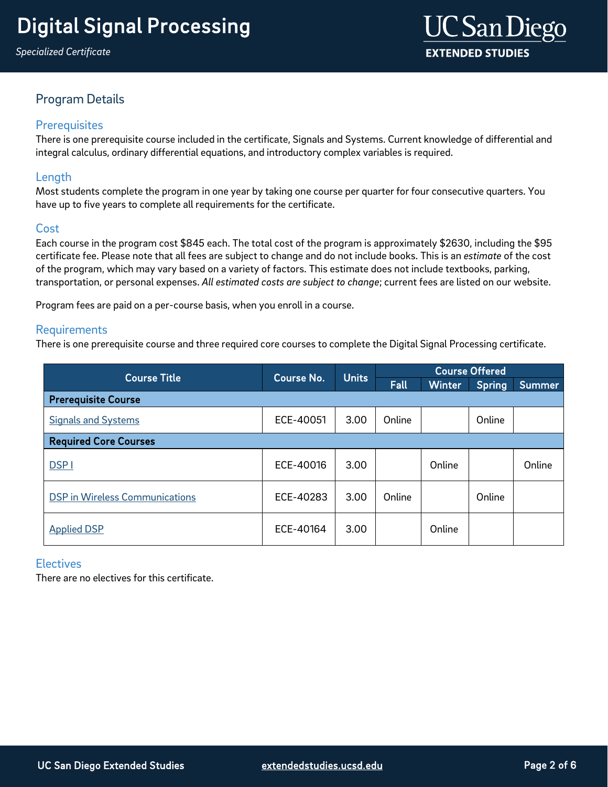

## Program Details

## **Prerequisites**

There is one prerequisite course included in the certificate, Signals and Systems. Current knowledge of differential and integral calculus, ordinary differential equations, and introductory complex variables is required.

## Length

Most students complete the program in one year by taking one course per quarter for four consecutive quarters. You have up to five years to complete all requirements for the certificate.

## Cost

<span id="page-1-0"></span>Each course in the program cost \$845 each. The total cost of the program is approximately \$2630, including the \$95 certificate fee. Please note that all fees are subject to change and do not include books. This is an *estimate* of the cost of the program, which may vary based on a variety of factors. This estimate does not include textbooks, parking, transportation, or personal expenses. *All estimated costs are subject to change*; current fees are listed on our website.

Program fees are paid on a per-course basis, when you enroll in a course.

## **Requirements**

There is one prerequisite course and three required core courses to complete the Digital Signal Processing certificate.

| <b>Course Title</b>                   | <b>Course No.</b> | <b>Units</b> | <b>Course Offered</b> |               |               |        |
|---------------------------------------|-------------------|--------------|-----------------------|---------------|---------------|--------|
|                                       |                   |              | Fall                  | <b>Winter</b> | <b>Spring</b> | Summer |
| <b>Prerequisite Course</b>            |                   |              |                       |               |               |        |
| <b>Signals and Systems</b>            | ECE-40051         | 3.00         | Online                |               | Online        |        |
| <b>Required Core Courses</b>          |                   |              |                       |               |               |        |
| <b>DSP1</b>                           | ECE-40016         | 3.00         |                       | Online        |               | Online |
| <b>DSP</b> in Wireless Communications | ECE-40283         | 3.00         | Online                |               | Online        |        |
| <b>Applied DSP</b>                    | ECE-40164         | 3.00         |                       | Online        |               |        |

## **Electives**

There are no electives for this certificate.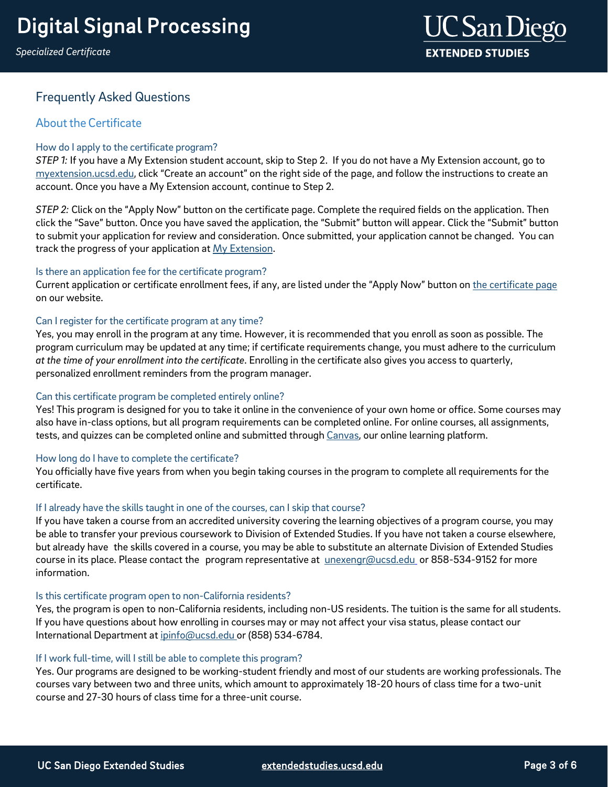*Specialized Certificate*



## Frequently Asked Questions

## **About the Certificate**

## How do I apply to the certificate program?

*STEP 1:* If you have a My Extension student account, skip to Step 2. If you do not have a My Extension account, go to [myextension.ucsd.edu,](https://myextension.ucsd.edu/?utm_source=faqs&utm_medium=pdf&utm_campaign=bst-digital-signal-processing) click "Create an account" on the right side of the page, and follow the instructions to create an account. Once you have a My Extension account, continue to Step 2.

*STEP 2:* Click on the "Apply Now" button on the certificate page. Complete the required fields on the application. Then click the "Save" button. Once you have saved the application, the "Submit" button will appear. Click the "Submit" button to submit your application for review and consideration. Once submitted, your application cannot be changed. You can track the progress of your application at My [Extension.](https://myextension.ucsd.edu/?utm_source=faqs&utm_medium=pdf&utm_campaign=bst-digital-signal-processing)

## Is there an application fee for the certificate program?

Current application or certificate enrollment fees, if any, are listed under the "Apply Now" button on the [certificate](https://extension.ucsd.edu/courses-and-programs/digital-signal-processing?utm_source=faqs&utm_medium=pdf&utm_campaign=bst-digital-signal-processing) page on our website.

## Can I register for the certificate program at any time?

Yes, you may enroll in the program at any time. However, it is recommended that you enroll as soon as possible. The program curriculum may be updated at any time; if certificate requirements change, you must adhere to the curriculum *at the time of your enrollment into the certificate*. Enrolling in the certificate also gives you access to quarterly, personalized enrollment reminders from the program manager.

## Can this certificate program be completed entirely online?

Yes! This program is designed for you to take it online in the convenience of your own home or office. Some courses may also have in-class options, but all program requirements can be completed online. For online courses, all assignments, tests, and quizzes can be completed online and submitted through [Canvas,](https://ucsdextension.zendesk.com/hc/en-us/articles/360039110812--Take-an-online-course-tour-Canvas-) our online learning platform.

## How long do I have to complete the certificate?

You officially have five years from when you begin taking courses in the program to complete all requirements for the certificate.

## If I already have the skills taught in one of the courses, can I skip that course?

If you have taken a course from an accredited university covering the learning objectives of a program course, you may be able to transfer your previous coursework to Division of Extended Studies. If you have not taken a course elsewhere, but already have the skills covered in a course, you may be able to substitute an alternate Division of Extended Studies course in its place. Please contact the program representative a[t unexengr@ucsd.edu](mailto:unexengr@ucsd.edu) or 858-534-9152 for more information.

## Is this certificate program open to non-California residents?

Yes, the program is open to non-California residents, including non-US residents. The tuition is the same for all students. If you have questions about how enrolling in courses may or may not affect your visa status, please contact our International Department at [ipinfo@ucsd.edu](mailto:ipinfo@ucsd.edu) or (858) 534-6784.

## If I work full-time, will I still be able to complete this program?

Yes. Our programs are designed to be working-student friendly and most of our students are working professionals. The courses vary between two and three units, which amount to approximately 18-20 hours of class time for a two-unit course and 27-30 hours of class time for a three-unit course.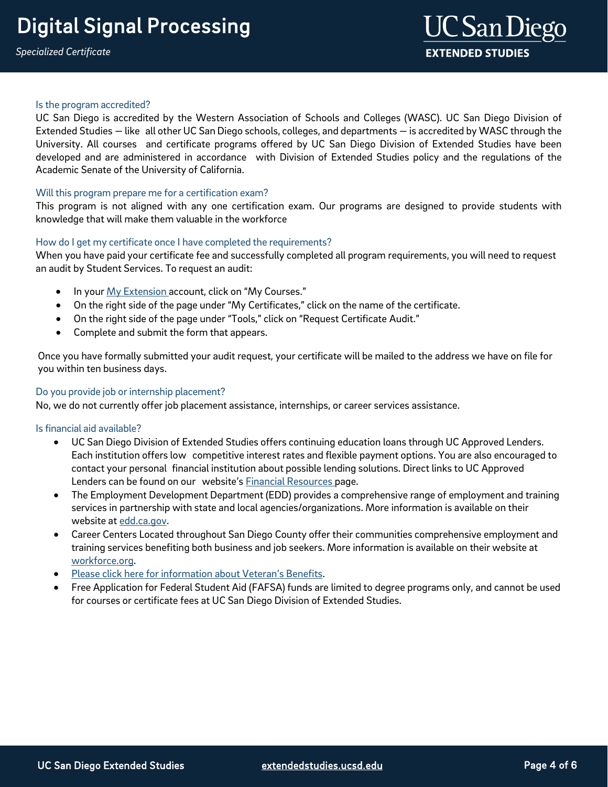#### Is the program accredited?

UC San Diego is accredited by the Western Association of Schools and Colleges (WASC). UC San Diego Division of Extended Studies — like all other UC San Diego schools, colleges, and departments — is accredited by WASC through the University. All courses and certificate programs offered by UC San Diego Division of Extended Studies have been developed and are administered in accordance with Division of Extended Studies policy and the regulations of the Academic Senate of the University of California.

## Will this program prepare me for a certification exam?

This program is not aligned with any one certification exam. Our programs are designed to provide students with knowledge that will make them valuable in the workforce

## How do I get my certificate once I have completed the requirements?

When you have paid your certificate fee and successfully completed all program requirements, you will need to request an audit by Student Services. To request an audit:

- In your My [Extension](https://myextension.ucsd.edu/?utm_source=faqs&utm_medium=pdf&utm_campaign=bst-digital-signal-processing) account, click on "My Courses."
- On the right side of the page under "My Certificates," click on the name of the certificate.
- On the right side of the page under "Tools," click on "Request Certificate Audit."
- Complete and submit the form that appears.

Once you have formally submitted your audit request, your certificate will be mailed to the address we have on file for you within ten business days.

## Do you provide job or internship placement?

No, we do not currently offer job placement assistance, internships, or career services assistance.

#### Is financial aid available?

- UC San Diego Division of Extended Studies offers continuing education loans through UC Approved Lenders. Each institution offers low competitive interest rates and flexible payment options. You are also encouraged to contact your personal financial institution about possible lending solutions. Direct links to UC Approved Lenders can be found on our website's **[Financial Resources](https://extension.ucsd.edu/student-resources/financial-resources?utm_source=faqs&utm_medium=pdf&utm_campaign=bst-digital-signal-processing) page.**
- The Employment Development Department (EDD) provides a comprehensive range of employment and training services in partnership with state and local agencies/organizations. More information is available on their website at [edd.ca.gov.](http://edd.ca.gov/)
- Career Centers Located throughout San Diego County offer their communities comprehensive employment and training services benefiting both business and job seekers. More information is available on their website at [workforce.org.](http://workforce.org/)
- Please click here for information about Veteran's Benefits.
- Free Application for Federal Student Aid (FAFSA) funds are limited to degree programs only, and cannot be used for courses or certificate fees at UC San Diego Division of Extended Studies.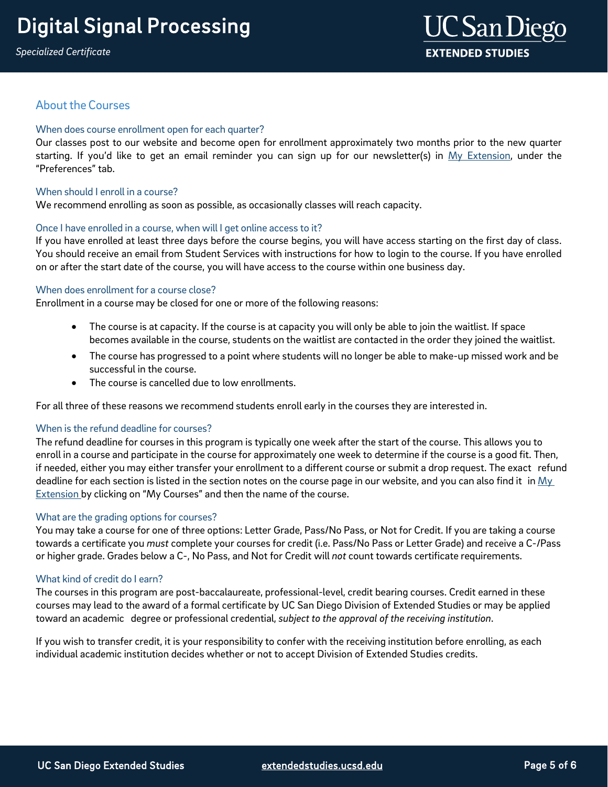## **About the Courses**

## When does course enrollment open for each quarter?

Our classes post to our website and become open for enrollment approximately two months prior to the new quarter starting. If you'd like to get an email reminder you can sign up for our newsletter(s) in My [Extension,](https://myextension.ucsd.edu/?utm_source=faqs&utm_medium=pdf&utm_campaign=bst-digital-signal-processing) under the "Preferences" tab.

## When should Lenroll in a course?

We recommend enrolling as soon as possible, as occasionally classes will reach capacity.

## Once I have enrolled in a course, when will I get online access to it?

If you have enrolled at least three days before the course begins, you will have access starting on the first day of class. You should receive an email from Student Services with instructions for how to login to the course. If you have enrolled on or after the start date of the course, you will have access to the course within one business day.

## When does enrollment for a course close?

Enrollment in a course may be closed for one or more of the following reasons:

- The course is at capacity. If the course is at capacity you will only be able to join the waitlist. If space becomes available in the course, students on the waitlist are contacted in the order they joined the waitlist.
- The course has progressed to a point where students will no longer be able to make-up missed work and be successful in the course.
- The course is cancelled due to low enrollments.

For all three of these reasons we recommend students enroll early in the courses they are interested in.

#### When is the refund deadline for courses?

The refund deadline for courses in this program is typically one week after the start of the course. This allows you to enroll in a course and participate in the course for approximately one week to determine if the course is a good fit. Then, if needed, either you may either transfer your enrollment to a different course or submit a drop request. The exact refund deadline for each section is listed in the section notes on the course page in our website, and you can also find it in  $My$ [Extension b](https://myextension.ucsd.edu/?utm_source=faqs&utm_medium=pdf&utm_campaign=bst-digital-signal-processing)y clicking on "My Courses" and then the name of the course.

## What are the grading options for courses?

You may take a course for one of three options: Letter Grade, Pass/No Pass, or Not for Credit. If you are taking a course towards a certificate you *must* complete your courses for credit (i.e. Pass/No Pass or Letter Grade) and receive a C-/Pass or higher grade. Grades below a C-, No Pass, and Not for Credit will *not* count towards certificate requirements.

#### What kind of credit do I earn?

The courses in this program are post-baccalaureate, professional-level, credit bearing courses. Credit earned in these courses may lead to the award of a formal certificate by UC San Diego Division of Extended Studies or may be applied toward an academic degree or professional credential, *subject to the approval of the receiving institution*.

If you wish to transfer credit, it is your responsibility to confer with the receiving institution before enrolling, as each individual academic institution decides whether or not to accept Division of Extended Studies credits.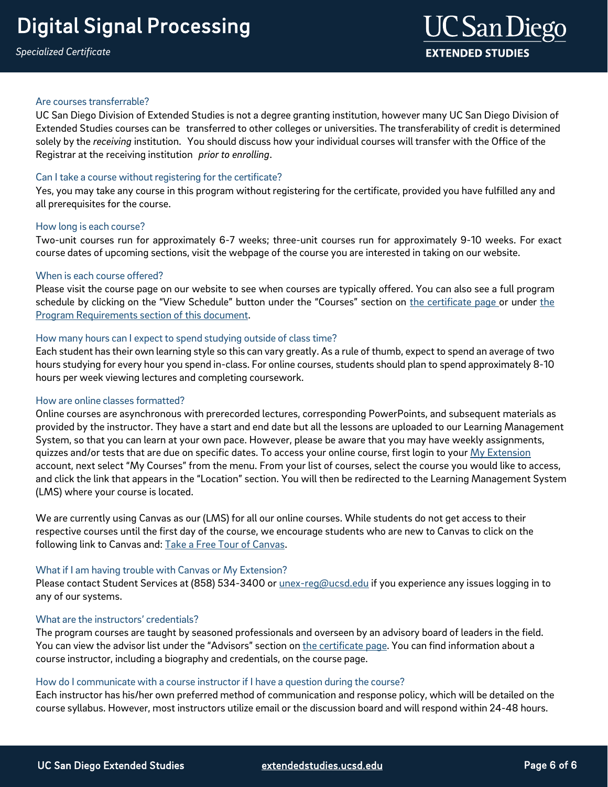#### Are courses transferrable?

UC San Diego Division of Extended Studies is not a degree granting institution, however many UC San Diego Division of Extended Studies courses can be transferred to other colleges or universities. The transferability of credit is determined solely by the *receiving* institution. You should discuss how your individual courses will transfer with the Office of the Registrar at the receiving institution *prior to enrolling*.

## Can I take a course without registering for the certificate?

Yes, you may take any course in this program without registering for the certificate, provided you have fulfilled any and all prerequisites for the course.

#### How long is each course?

Two-unit courses run for approximately 6-7 weeks; three-unit courses run for approximately 9-10 weeks. For exact course dates of upcoming sections, visit the webpage of the course you are interested in taking on our website.

## When is each course offered?

Please visit the course page on our website to see when courses are typically offered. You can also see a full program schedule by clicking on the "View Schedule" button under the "Courses" section on [the certificate](https://extension.ucsd.edu/courses-and-programs/digital-signal-processing?utm_source=faqs&utm_medium=pdf&utm_campaign=bst-digital-signal-processing) page or under [the](#page-1-0) Program Requirements section of [this document.](#page-1-0)

## How many hours can I expect to spend studying outside of class time?

Each student has their own learning style so this can vary greatly. As a rule of thumb, expect to spend an average of two hours studying for every hour you spend in-class. For online courses, students should plan to spend approximately 8-10 hours per week viewing lectures and completing coursework.

#### How are online classes formatted?

Online courses are asynchronous with prerecorded lectures, corresponding PowerPoints, and subsequent materials as provided by the instructor. They have a start and end date but all the lessons are uploaded to our Learning Management System, so that you can learn at your own pace. However, please be aware that you may have weekly assignments, quizzes and/or tests that are due on specific dates. To access your online course, first login to your [My Extension](https://myextension.ucsd.edu/?_ga=2.164519549.353684319.1571935825-2027605279.1571935825) account, next select "My Courses" from the menu. From your list of courses, select the course you would like to access, and click the link that appears in the "Location" section. You will then be redirected to the Learning Management System (LMS) where your course is located.

We are currently using Canvas as our (LMS) for all our online courses. While students do not get access to their respective courses until the first day of the course, we encourage students who are new to Canvas to click on the following link to Canvas and: [Take a Free Tour of Canvas.](https://ucsdextension.zendesk.com/hc/en-us/articles/360039110812--Take-an-online-course-tour-Canvas-)

## What if I am having trouble with Canvas or My Extension?

Please contact Student Services at (858) 534-3400 or *unex-reg@ucsd.edu* if you experience any issues logging in to any of our systems.

#### What are the instructors' credentials?

The program courses are taught by seasoned professionals and overseen by an advisory board of leaders in the field. You can view the advisor list under the "Advisors" section on [the certificate](https://extension.ucsd.edu/courses-and-programs/digital-signal-processing?utm_source=faqs&utm_medium=pdf&utm_campaign=bst-digital-signal-processing) page. You can find information about a course instructor, including a biography and credentials, on the course page.

#### How do I communicate with a course instructor if I have a question during the course?

Each instructor has his/her own preferred method of communication and response policy, which will be detailed on the course syllabus. However, most instructors utilize email or the discussion board and will respond within 24-48 hours.